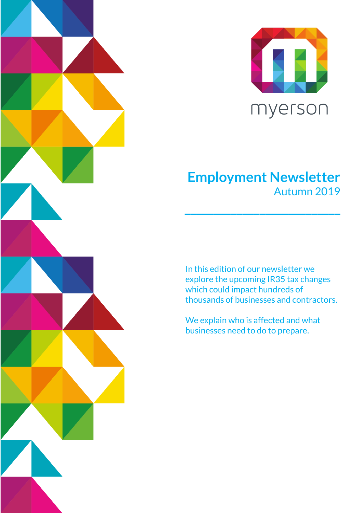

## **Employment Newsletter** Autumn 2019

**\_\_\_\_\_\_\_\_\_\_\_\_\_\_\_\_\_\_\_\_\_\_\_\_\_\_\_**

In this edition of our newsletter we explore the upcoming IR35 tax changes which could impact hundreds of thousands of businesses and contractors.

We explain who is affected and what businesses need to do to prepare.

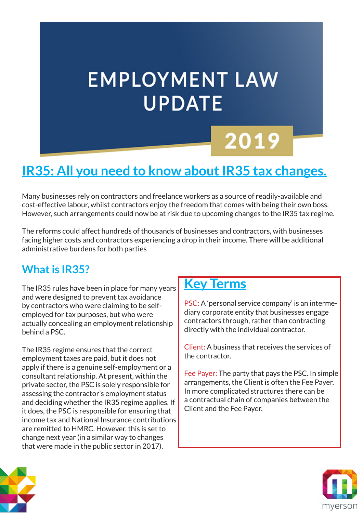# **EMPLOYMENT LAW UPDATE**

# 2019

# **IR35: All you need to know about IR35 tax changes.**

Many businesses rely on contractors and freelance workers as a source of readily-available and cost-effective labour, whilst contractors enjoy the freedom that comes with being their own boss. However, such arrangements could now be at risk due to upcoming changes to the IR35 tax regime.

The reforms could affect hundreds of thousands of businesses and contractors, with businesses facing higher costs and contractors experiencing a drop in their income. There will be additional administrative burdens for both parties

#### **What is IR35?**

The IR35 rules have been in place for many years and were designed to prevent tax avoidance by contractors who were claiming to be selfemployed for tax purposes, but who were actually concealing an employment relationship behind a PSC.

The IR35 regime ensures that the correct employment taxes are paid, but it does not apply if there is a genuine self-employment or a consultant relationship. At present, within the private sector, the PSC is solely responsible for assessing the contractor's employment status and deciding whether the IR35 regime applies. If it does, the PSC is responsible for ensuring that income tax and National Insurance contributions are remitted to HMRC. However, this is set to change next year (in a similar way to changes that were made in the public sector in 2017).

# **Key Terms**

PSC: A 'personal service company' is an intermediary corporate entity that businesses engage contractors through, rather than contracting directly with the individual contractor.

Client: A business that receives the services of the contractor.

Fee Payer: The party that pays the PSC. In simple arrangements, the Client is often the Fee Payer. In more complicated structures there can be a contractual chain of companies between the Client and the Fee Payer.



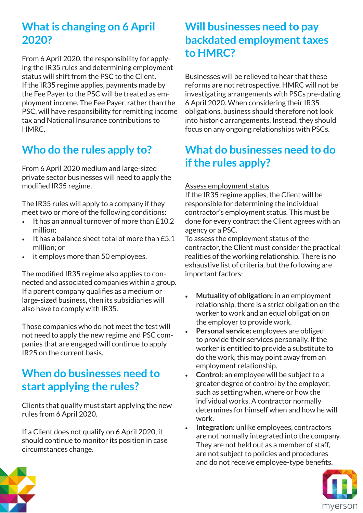### **What is changing on 6 April 2020?**

From 6 April 2020, the responsibility for applying the IR35 rules and determining employment status will shift from the PSC to the Client. If the IR35 regime applies, payments made by the Fee Payer to the PSC will be treated as employment income. The Fee Payer, rather than the PSC, will have responsibility for remitting income tax and National Insurance contributions to HMRC.

## **Who do the rules apply to?**

From 6 April 2020 medium and large-sized private sector businesses will need to apply the modified IR35 regime.

The IR35 rules will apply to a company if they meet two or more of the following conditions:

- It has an annual turnover of more than £10.2 million;
- It has a balance sheet total of more than £5.1 million; or
- it employs more than 50 employees.

The modified IR35 regime also applies to connected and associated companies within a group. If a parent company qualifies as a medium or large-sized business, then its subsidiaries will also have to comply with IR35.

Those companies who do not meet the test will not need to apply the new regime and PSC companies that are engaged will continue to apply IR25 on the current basis.

### **When do businesses need to start applying the rules?**

Clients that qualify must start applying the new rules from 6 April 2020.

If a Client does not qualify on 6 April 2020, it should continue to monitor its position in case circumstances change.

### **Will businesses need to pay backdated employment taxes to HMRC?**

Businesses will be relieved to hear that these reforms are not retrospective. HMRC will not be investigating arrangements with PSCs pre-dating 6 April 2020. When considering their IR35 obligations, business should therefore not look into historic arrangements. Instead, they should focus on any ongoing relationships with PSCs.

### **What do businesses need to do if the rules apply?**

#### Assess employment status

If the IR35 regime applies, the Client will be responsible for determining the individual contractor's employment status. This must be done for every contract the Client agrees with an agency or a PSC.

To assess the employment status of the contractor, the Client must consider the practical realities of the working relationship. There is no exhaustive list of criteria, but the following are important factors:

- **Mutuality of obligation:** in an employment relationship, there is a strict obligation on the worker to work and an equal obligation on the employer to provide work.
- **Personal service:** employees are obliged to provide their services personally. If the worker is entitled to provide a substitute to do the work, this may point away from an employment relationship.
- **Control:** an employee will be subject to a greater degree of control by the employer, such as setting when, where or how the individual works. A contractor normally determines for himself when and how he will work.
- **Integration:** unlike employees, contractors are not normally integrated into the company. They are not held out as a member of staff, are not subject to policies and procedures and do not receive employee-type benefits.



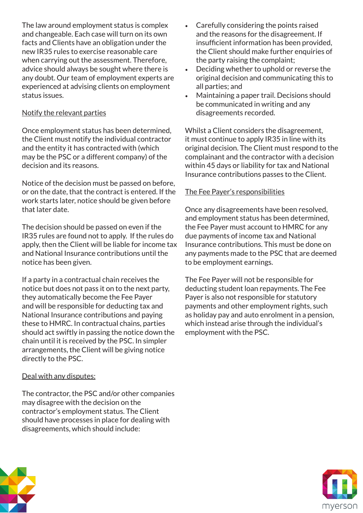The law around employment status is complex and changeable. Each case will turn on its own facts and Clients have an obligation under the new IR35 rules to exercise reasonable care when carrying out the assessment. Therefore, advice should always be sought where there is any doubt. Our team of employment experts are experienced at advising clients on employment status issues.

#### Notify the relevant parties

Once employment status has been determined, the Client must notify the individual contractor and the entity it has contracted with (which may be the PSC or a different company) of the decision and its reasons.

Notice of the decision must be passed on before, or on the date, that the contract is entered. If the work starts later, notice should be given before that later date.

The decision should be passed on even if the IR35 rules are found not to apply. If the rules do apply, then the Client will be liable for income tax and National Insurance contributions until the notice has been given.

If a party in a contractual chain receives the notice but does not pass it on to the next party, they automatically become the Fee Payer and will be responsible for deducting tax and National Insurance contributions and paying these to HMRC. In contractual chains, parties should act swiftly in passing the notice down the chain until it is received by the PSC. In simpler arrangements, the Client will be giving notice directly to the PSC.

#### Deal with any disputes:

The contractor, the PSC and/or other companies may disagree with the decision on the contractor's employment status. The Client should have processes in place for dealing with disagreements, which should include:

- Carefully considering the points raised and the reasons for the disagreement. If insufficient information has been provided, the Client should make further enquiries of the party raising the complaint;
- Deciding whether to uphold or reverse the original decision and communicating this to all parties; and
- Maintaining a paper trail. Decisions should be communicated in writing and any disagreements recorded.

Whilst a Client considers the disagreement, it must continue to apply IR35 in line with its original decision. The Client must respond to the complainant and the contractor with a decision within 45 days or liability for tax and National Insurance contributions passes to the Client.

#### The Fee Payer's responsibilities

Once any disagreements have been resolved, and employment status has been determined, the Fee Payer must account to HMRC for any due payments of income tax and National Insurance contributions. This must be done on any payments made to the PSC that are deemed to be employment earnings.

The Fee Payer will not be responsible for deducting student loan repayments. The Fee Payer is also not responsible for statutory payments and other employment rights, such as holiday pay and auto enrolment in a pension, which instead arise through the individual's employment with the PSC.